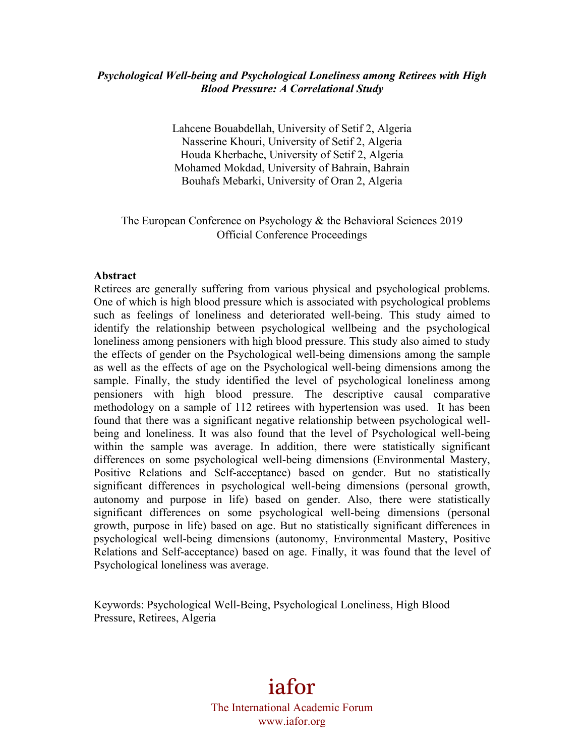#### *Psychological Well-being and Psychological Loneliness among Retirees with High Blood Pressure: A Correlational Study*

Lahcene Bouabdellah, University of Setif 2, Algeria Nasserine Khouri, University of Setif 2, Algeria Houda Kherbache, University of Setif 2, Algeria Mohamed Mokdad, University of Bahrain, Bahrain Bouhafs Mebarki, University of Oran 2, Algeria

The European Conference on Psychology & the Behavioral Sciences 2019 Official Conference Proceedings

#### **Abstract**

Retirees are generally suffering from various physical and psychological problems. One of which is high blood pressure which is associated with psychological problems such as feelings of loneliness and deteriorated well-being. This study aimed to identify the relationship between psychological wellbeing and the psychological loneliness among pensioners with high blood pressure. This study also aimed to study the effects of gender on the Psychological well-being dimensions among the sample as well as the effects of age on the Psychological well-being dimensions among the sample. Finally, the study identified the level of psychological loneliness among pensioners with high blood pressure. The descriptive causal comparative methodology on a sample of 112 retirees with hypertension was used. It has been found that there was a significant negative relationship between psychological wellbeing and loneliness. It was also found that the level of Psychological well-being within the sample was average. In addition, there were statistically significant differences on some psychological well-being dimensions (Environmental Mastery, Positive Relations and Self-acceptance) based on gender. But no statistically significant differences in psychological well-being dimensions (personal growth, autonomy and purpose in life) based on gender. Also, there were statistically significant differences on some psychological well-being dimensions (personal growth, purpose in life) based on age. But no statistically significant differences in psychological well-being dimensions (autonomy, Environmental Mastery, Positive Relations and Self-acceptance) based on age. Finally, it was found that the level of Psychological loneliness was average.

Keywords: Psychological Well-Being, Psychological Loneliness, High Blood Pressure, Retirees, Algeria

# iafor

The International Academic Forum www.iafor.org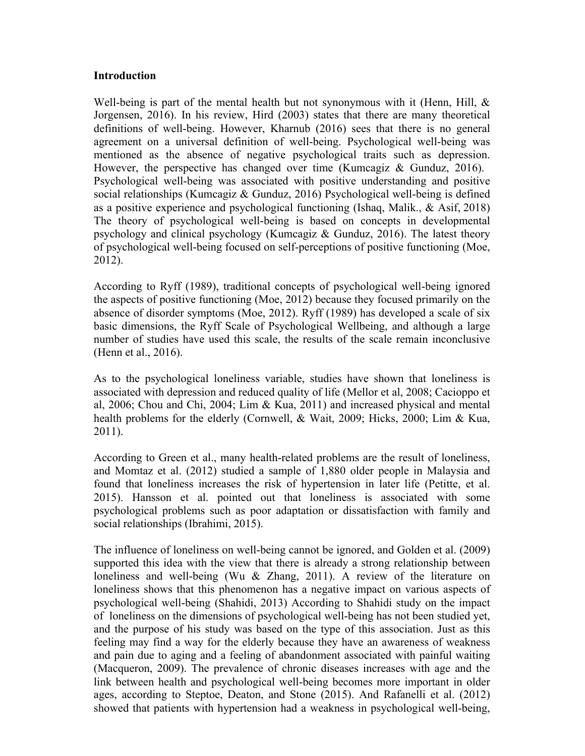#### **Introduction**

Well-being is part of the mental health but not synonymous with it (Henn, Hill,  $\&$ Jorgensen, 2016). In his review, Hird (2003) states that there are many theoretical definitions of well-being. However, Kharnub (2016) sees that there is no general agreement on a universal definition of well-being. Psychological well-being was mentioned as the absence of negative psychological traits such as depression. However, the perspective has changed over time (Kumcagiz & Gunduz, 2016). Psychological well-being was associated with positive understanding and positive social relationships (Kumcagiz & Gunduz, 2016) Psychological well-being is defined as a positive experience and psychological functioning (Ishaq, Malik., & Asif, 2018) The theory of psychological well-being is based on concepts in developmental psychology and clinical psychology (Kumcagiz & Gunduz, 2016). The latest theory of psychological well-being focused on self-perceptions of positive functioning (Moe, 2012).

According to Ryff (1989), traditional concepts of psychological well-being ignored the aspects of positive functioning (Moe, 2012) because they focused primarily on the absence of disorder symptoms (Moe, 2012). Ryff (1989) has developed a scale of six basic dimensions, the Ryff Scale of Psychological Wellbeing, and although a large number of studies have used this scale, the results of the scale remain inconclusive (Henn et al., 2016).

As to the psychological loneliness variable, studies have shown that loneliness is associated with depression and reduced quality of life (Mellor et al, 2008; Cacioppo et al, 2006; Chou and Chi, 2004; Lim & Kua, 2011) and increased physical and mental health problems for the elderly (Cornwell, & Wait, 2009; Hicks, 2000; Lim & Kua, 2011).

According to Green et al., many health-related problems are the result of loneliness, and Momtaz et al. (2012) studied a sample of 1,880 older people in Malaysia and found that loneliness increases the risk of hypertension in later life (Petitte, et al. 2015). Hansson et al. pointed out that loneliness is associated with some psychological problems such as poor adaptation or dissatisfaction with family and social relationships (Ibrahimi, 2015).

The influence of loneliness on well-being cannot be ignored, and Golden et al. (2009) supported this idea with the view that there is already a strong relationship between loneliness and well-being (Wu & Zhang, 2011). A review of the literature on loneliness shows that this phenomenon has a negative impact on various aspects of psychological well-being (Shahidi, 2013) According to Shahidi study on the impact of loneliness on the dimensions of psychological well-being has not been studied yet, and the purpose of his study was based on the type of this association. Just as this feeling may find a way for the elderly because they have an awareness of weakness and pain due to aging and a feeling of abandonment associated with painful waiting (Macqueron, 2009). The prevalence of chronic diseases increases with age and the link between health and psychological well-being becomes more important in older ages, according to Steptoe, Deaton, and Stone (2015). And Rafanelli et al. (2012) showed that patients with hypertension had a weakness in psychological well-being,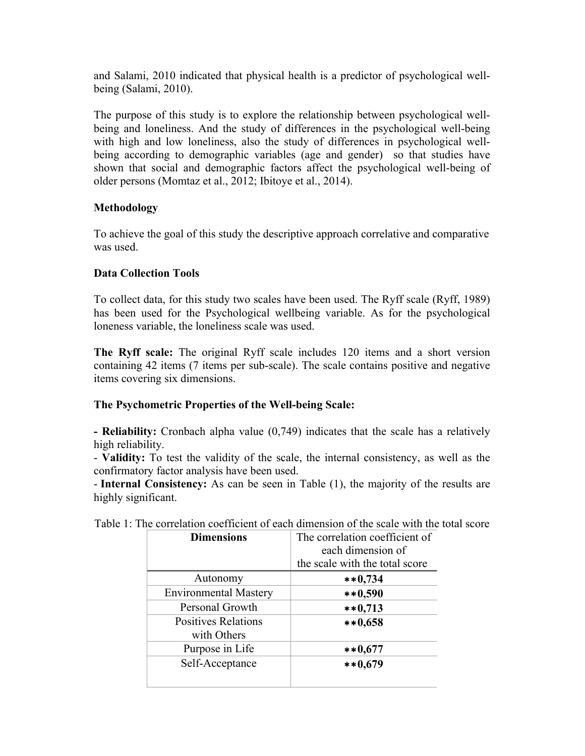and Salami, 2010 indicated that physical health is a predictor of psychological wellbeing (Salami, 2010).

The purpose of this study is to explore the relationship between psychological wellbeing and loneliness. And the study of differences in the psychological well-being with high and low loneliness, also the study of differences in psychological wellbeing according to demographic variables (age and gender) so that studies have shown that social and demographic factors affect the psychological well-being of older persons (Momtaz et al., 2012; Ibitoye et al., 2014).

## **Methodology**

To achieve the goal of this study the descriptive approach correlative and comparative was used.

## **Data Collection Tools**

To collect data, for this study two scales have been used. The Ryff scale (Ryff, 1989) has been used for the Psychological wellbeing variable. As for the psychological loneness variable, the loneliness scale was used.

**The Ryff scale:** The original Ryff scale includes 120 items and a short version containing 42 items (7 items per sub-scale). The scale contains positive and negative items covering six dimensions.

## **The Psychometric Properties of the Well-being Scale:**

**- Reliability:** Cronbach alpha value (0,749) indicates that the scale has a relatively high reliability.

- **Validity:** To test the validity of the scale, the internal consistency, as well as the confirmatory factor analysis have been used.

- **Internal Consistency:** As can be seen in Table (1), the majority of the results are highly significant.

| <b>Dimensions</b>                         | The correlation coefficient of<br>each dimension of<br>the scale with the total score |
|-------------------------------------------|---------------------------------------------------------------------------------------|
| Autonomy                                  | $**0,734$                                                                             |
| <b>Environmental Mastery</b>              | $**0,590$                                                                             |
| Personal Growth                           | $***0,713$                                                                            |
| <b>Positives Relations</b><br>with Others | $**0,658$                                                                             |
| Purpose in Life                           | $**0,677$                                                                             |
| Self-Acceptance                           | $**0,679$                                                                             |

Table 1: The correlation coefficient of each dimension of the scale with the total score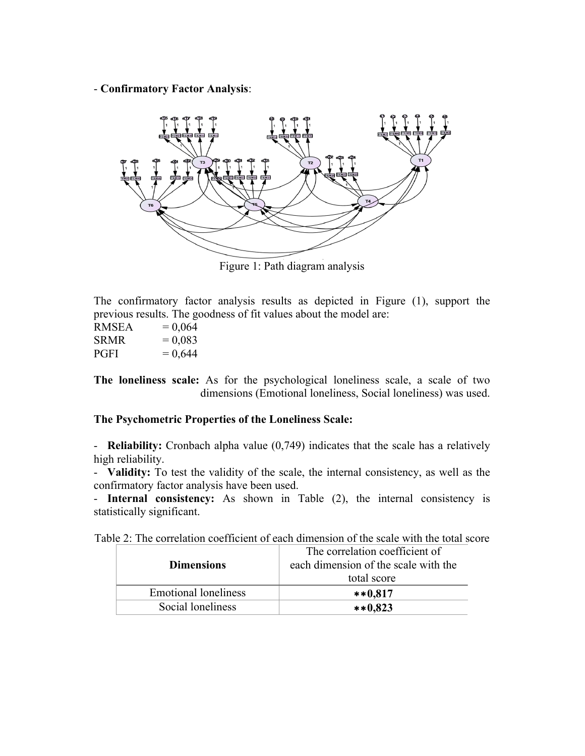- **Confirmatory Factor Analysis**:



Figure 1: Path diagram analysis

The confirmatory factor analysis results as depicted in Figure (1), support the previous results. The goodness of fit values about the model are:

| <b>RMSEA</b> | $= 0,064$ |
|--------------|-----------|
| <b>SRMR</b>  | $= 0,083$ |
| <b>PGFI</b>  | $= 0,644$ |

**The loneliness scale:** As for the psychological loneliness scale, a scale of two dimensions (Emotional loneliness, Social loneliness) was used.

## **The Psychometric Properties of the Loneliness Scale:**

- **Reliability:** Cronbach alpha value (0,749) indicates that the scale has a relatively high reliability.

- **Validity:** To test the validity of the scale, the internal consistency, as well as the confirmatory factor analysis have been used.

- **Internal consistency:** As shown in Table (2), the internal consistency is statistically significant.

| <b>Dimensions</b>           | The correlation coefficient of<br>each dimension of the scale with the<br>total score |
|-----------------------------|---------------------------------------------------------------------------------------|
| <b>Emotional loneliness</b> | $***0.817$                                                                            |
| Social loneliness           | $**0,823$                                                                             |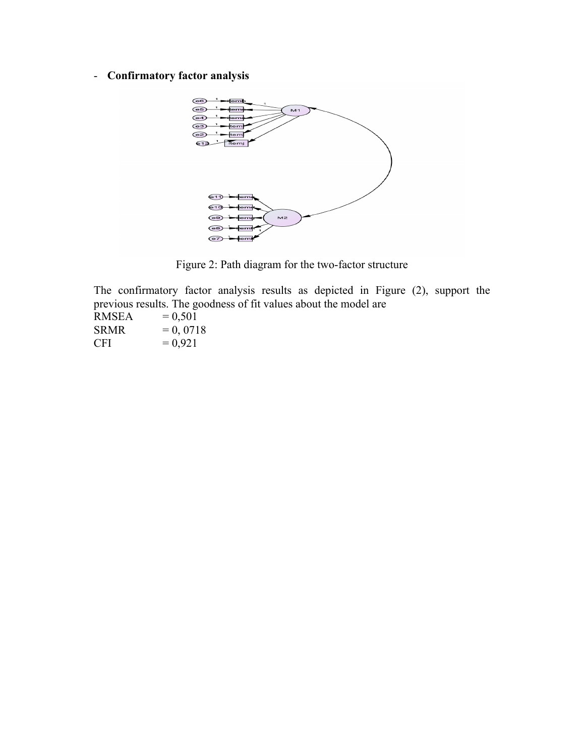# - **Confirmatory factor analysis**



Figure 2: Path diagram for the two-factor structure

The confirmatory factor analysis results as depicted in Figure (2), support the previous results. The goodness of fit values about the model are

| <b>RMSEA</b> | $= 0,501$  |
|--------------|------------|
| <b>SRMR</b>  | $= 0,0718$ |
| <b>CFI</b>   | $= 0.921$  |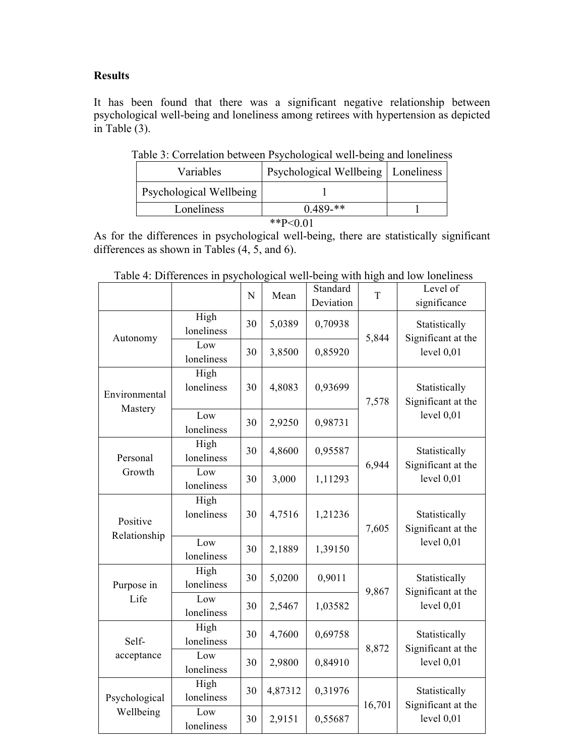## **Results**

It has been found that there was a significant negative relationship between psychological well-being and loneliness among retirees with hypertension as depicted in Table (3).

| $\frac{1}{2}$ . Convincing over our responsibility with oving and following |                                      |  |  |  |  |
|-----------------------------------------------------------------------------|--------------------------------------|--|--|--|--|
| Variables                                                                   | Psychological Wellbeing   Loneliness |  |  |  |  |
| Psychological Wellbeing                                                     |                                      |  |  |  |  |
| Loneliness                                                                  | $0.489-**$                           |  |  |  |  |
| **P< $0.01$                                                                 |                                      |  |  |  |  |

Table 3: Correlation between Psychological well-being and loneliness

As for the differences in psychological well-being, there are statistically significant differences as shown in Tables (4, 5, and 6).

|                          |                    | N                       | Mean    | Standard<br>Deviation | T            | Level of<br>significance                            |  |
|--------------------------|--------------------|-------------------------|---------|-----------------------|--------------|-----------------------------------------------------|--|
| Autonomy                 | High<br>loneliness | 30                      | 5,0389  | 0,70938               | 5,844        | Statistically<br>Significant at the                 |  |
|                          | Low<br>loneliness  | 30<br>3,8500<br>0,85920 |         |                       | level $0,01$ |                                                     |  |
| Environmental<br>Mastery | High<br>loneliness | 30                      | 4,8083  | 0,93699               | 7,578        | Statistically<br>Significant at the<br>level $0,01$ |  |
|                          | Low<br>loneliness  | 30                      | 2,9250  | 0,98731               |              |                                                     |  |
| Personal                 | High<br>loneliness | 30                      | 4,8600  | 0,95587               | 6,944        | Statistically<br>Significant at the<br>level $0,01$ |  |
| Growth                   | Low<br>loneliness  | 30                      | 3,000   | 1,11293               |              |                                                     |  |
| Positive<br>Relationship | High<br>loneliness | 30                      | 4,7516  | 1,21236               | 7,605        | Statistically<br>Significant at the                 |  |
|                          | Low<br>loneliness  | 30                      | 2,1889  | 1,39150               |              | level $0,01$                                        |  |
| Purpose in               | High<br>loneliness | 30                      | 5,0200  | 0,9011                | 9,867        | Statistically<br>Significant at the<br>level $0,01$ |  |
| Life                     | Low<br>loneliness  | 30                      | 2,5467  | 1,03582               |              |                                                     |  |
| Self-                    | High<br>loneliness | 30                      | 4,7600  | 0,69758               | 8,872        | Statistically<br>Significant at the                 |  |
| acceptance               | Low<br>loneliness  | 30                      | 2,9800  | 0,84910               |              | level $0,01$                                        |  |
| Psychological            | High<br>loneliness | 30                      | 4,87312 | 0,31976               | 16,701       | Statistically<br>Significant at the                 |  |
| Wellbeing                | Low<br>loneliness  | 30                      | 2,9151  | 0,55687               |              | level $0,01$                                        |  |

Table 4: Differences in psychological well-being with high and low loneliness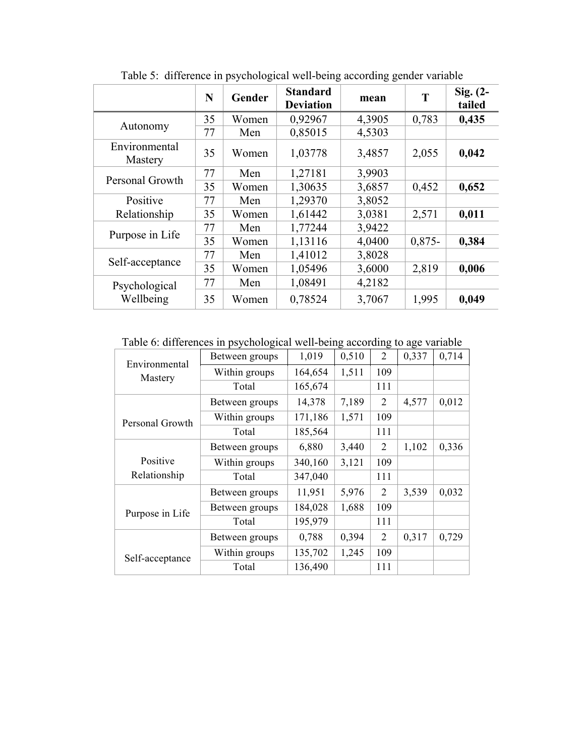|                          | N  | Gender | <b>Standard</b><br><b>Deviation</b> | mean   | T        | Sig. $(2-$<br>tailed |
|--------------------------|----|--------|-------------------------------------|--------|----------|----------------------|
|                          | 35 | Women  | 0,92967                             | 4,3905 | 0,783    | 0,435                |
| Autonomy                 | 77 | Men    | 0,85015                             | 4,5303 |          |                      |
| Environmental<br>Mastery | 35 | Women  | 1,03778                             | 3,4857 | 2,055    | 0,042                |
| Personal Growth          | 77 | Men    | 1,27181                             | 3,9903 |          |                      |
|                          | 35 | Women  | 1,30635                             | 3,6857 | 0,452    | 0,652                |
| Positive                 | 77 | Men    | 1,29370                             | 3,8052 |          |                      |
| Relationship             | 35 | Women  | 1,61442                             | 3,0381 | 2,571    | 0,011                |
| Purpose in Life          | 77 | Men    | 1,77244                             | 3,9422 |          |                      |
|                          | 35 | Women  | 1,13116                             | 4,0400 | $0,875-$ | 0,384                |
|                          | 77 | Men    | 1,41012                             | 3,8028 |          |                      |
| Self-acceptance          | 35 | Women  | 1,05496                             | 3,6000 | 2,819    | 0,006                |
| Psychological            | 77 | Men    | 1,08491                             | 4,2182 |          |                      |
| Wellbeing                | 35 | Women  | 0,78524                             | 3,7067 | 1,995    | 0,049                |

Table 5: difference in psychological well-being according gender variable

Table 6: differences in psychological well-being according to age variable

| Environmental   | Between groups | 1,019   | 0,510 | $\overline{2}$ | 0,337 | 0,714 |
|-----------------|----------------|---------|-------|----------------|-------|-------|
| Mastery         | Within groups  | 164,654 | 1,511 | 109            |       |       |
|                 | Total          | 165,674 |       | 111            |       |       |
|                 | Between groups | 14,378  | 7,189 | 2              | 4,577 | 0,012 |
| Personal Growth | Within groups  | 171,186 | 1,571 | 109            |       |       |
|                 | Total          | 185,564 |       | 111            |       |       |
|                 | Between groups | 6,880   | 3,440 | 2              | 1,102 | 0,336 |
| Positive        | Within groups  | 340,160 | 3,121 | 109            |       |       |
| Relationship    | Total          | 347,040 |       | 111            |       |       |
|                 | Between groups | 11,951  | 5,976 | 2              | 3,539 | 0,032 |
| Purpose in Life | Between groups | 184,028 | 1,688 | 109            |       |       |
|                 | Total          | 195,979 |       | 111            |       |       |
|                 | Between groups | 0,788   | 0,394 | $\overline{2}$ | 0,317 | 0,729 |
| Self-acceptance | Within groups  | 135,702 | 1,245 | 109            |       |       |
|                 | Total          | 136,490 |       | 111            |       |       |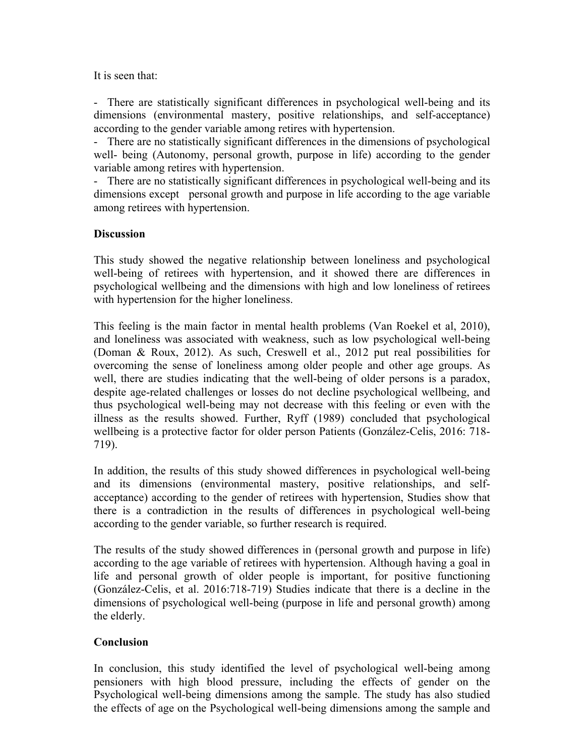It is seen that:

- There are statistically significant differences in psychological well-being and its dimensions (environmental mastery, positive relationships, and self-acceptance) according to the gender variable among retires with hypertension.

- There are no statistically significant differences in the dimensions of psychological well- being (Autonomy, personal growth, purpose in life) according to the gender variable among retires with hypertension.

- There are no statistically significant differences in psychological well-being and its dimensions except personal growth and purpose in life according to the age variable among retirees with hypertension.

### **Discussion**

This study showed the negative relationship between loneliness and psychological well-being of retirees with hypertension, and it showed there are differences in psychological wellbeing and the dimensions with high and low loneliness of retirees with hypertension for the higher loneliness.

This feeling is the main factor in mental health problems (Van Roekel et al, 2010), and loneliness was associated with weakness, such as low psychological well-being (Doman & Roux, 2012). As such, Creswell et al., 2012 put real possibilities for overcoming the sense of loneliness among older people and other age groups. As well, there are studies indicating that the well-being of older persons is a paradox, despite age-related challenges or losses do not decline psychological wellbeing, and thus psychological well-being may not decrease with this feeling or even with the illness as the results showed. Further, Ryff (1989) concluded that psychological wellbeing is a protective factor for older person Patients (González-Celis, 2016: 718- 719).

In addition, the results of this study showed differences in psychological well-being and its dimensions (environmental mastery, positive relationships, and selfacceptance) according to the gender of retirees with hypertension, Studies show that there is a contradiction in the results of differences in psychological well-being according to the gender variable, so further research is required.

The results of the study showed differences in (personal growth and purpose in life) according to the age variable of retirees with hypertension. Although having a goal in life and personal growth of older people is important, for positive functioning (González-Celis, et al. 2016:718-719) Studies indicate that there is a decline in the dimensions of psychological well-being (purpose in life and personal growth) among the elderly.

#### **Conclusion**

In conclusion, this study identified the level of psychological well-being among pensioners with high blood pressure, including the effects of gender on the Psychological well-being dimensions among the sample. The study has also studied the effects of age on the Psychological well-being dimensions among the sample and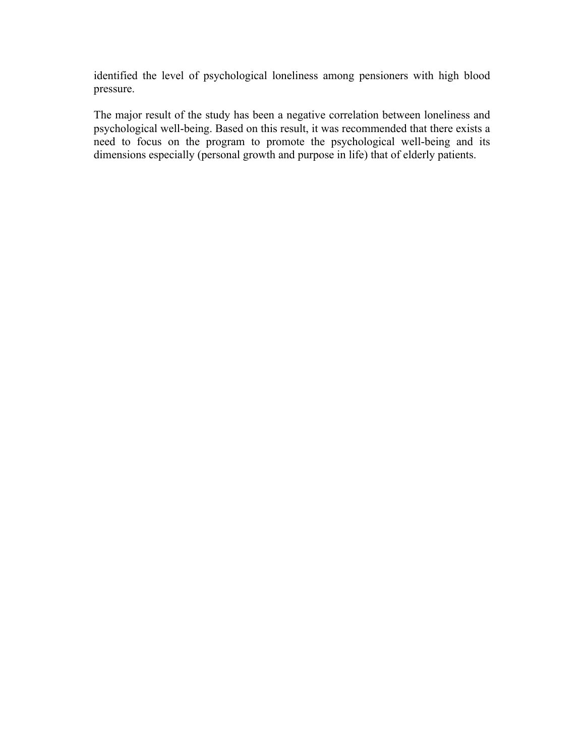identified the level of psychological loneliness among pensioners with high blood pressure.

The major result of the study has been a negative correlation between loneliness and psychological well-being. Based on this result, it was recommended that there exists a need to focus on the program to promote the psychological well-being and its dimensions especially (personal growth and purpose in life) that of elderly patients.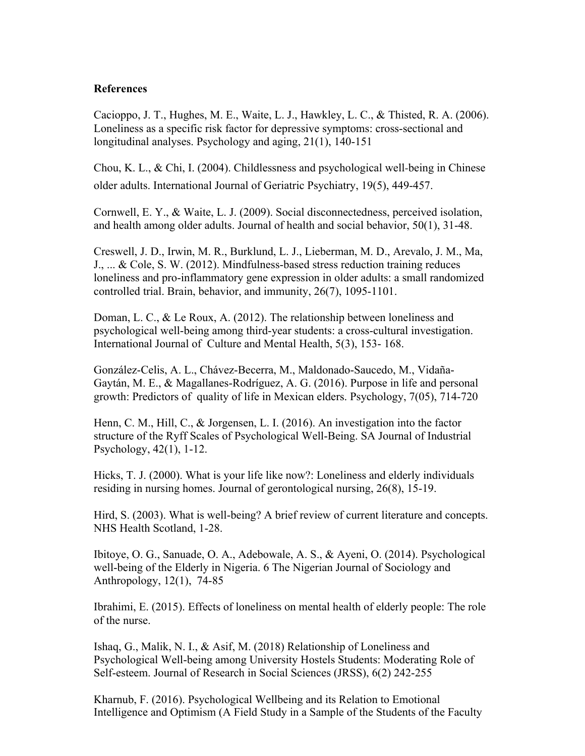#### **References**

Cacioppo, J. T., Hughes, M. E., Waite, L. J., Hawkley, L. C., & Thisted, R. A. (2006). Loneliness as a specific risk factor for depressive symptoms: cross-sectional and longitudinal analyses. Psychology and aging, 21(1), 140-151

Chou, K. L., & Chi, I. (2004). Childlessness and psychological well‐being in Chinese older adults. International Journal of Geriatric Psychiatry, 19(5), 449-457.

Cornwell, E. Y., & Waite, L. J. (2009). Social disconnectedness, perceived isolation, and health among older adults. Journal of health and social behavior, 50(1), 31-48.

Creswell, J. D., Irwin, M. R., Burklund, L. J., Lieberman, M. D., Arevalo, J. M., Ma, J., ... & Cole, S. W. (2012). Mindfulness-based stress reduction training reduces loneliness and pro-inflammatory gene expression in older adults: a small randomized controlled trial. Brain, behavior, and immunity, 26(7), 1095-1101.

Doman, L. C., & Le Roux, A. (2012). The relationship between loneliness and psychological well-being among third-year students: a cross-cultural investigation. International Journal of Culture and Mental Health, 5(3), 153- 168.

González-Celis, A. L., Chávez-Becerra, M., Maldonado-Saucedo, M., Vidaña-Gaytán, M. E., & Magallanes-Rodríguez, A. G. (2016). Purpose in life and personal growth: Predictors of quality of life in Mexican elders. Psychology, 7(05), 714-720

Henn, C. M., Hill, C., & Jorgensen, L. I. (2016). An investigation into the factor structure of the Ryff Scales of Psychological Well-Being. SA Journal of Industrial Psychology, 42(1), 1-12.

Hicks, T. J. (2000). What is your life like now?: Loneliness and elderly individuals residing in nursing homes. Journal of gerontological nursing, 26(8), 15-19.

Hird, S. (2003). What is well-being? A brief review of current literature and concepts. NHS Health Scotland, 1-28.

Ibitoye, O. G., Sanuade, O. A., Adebowale, A. S., & Ayeni, O. (2014). Psychological well-being of the Elderly in Nigeria. 6 The Nigerian Journal of Sociology and Anthropology, 12(1), 74-85

Ibrahimi, E. (2015). Effects of loneliness on mental health of elderly people: The role of the nurse.

Ishaq, G., Malik, N. I., & Asif, M. (2018) Relationship of Loneliness and Psychological Well-being among University Hostels Students: Moderating Role of Self-esteem. Journal of Research in Social Sciences (JRSS), 6(2) 242-255

Kharnub, F. (2016). Psychological Wellbeing and its Relation to Emotional Intelligence and Optimism (A Field Study in a Sample of the Students of the Faculty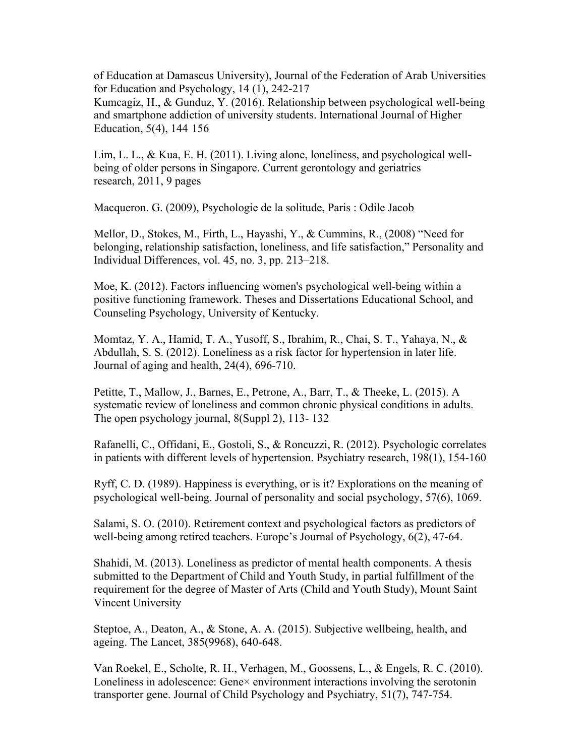of Education at Damascus University), Journal of the Federation of Arab Universities for Education and Psychology, 14 (1), 242-217

Kumcagiz, H., & Gunduz, Y. (2016). Relationship between psychological well-being and smartphone addiction of university students. International Journal of Higher Education,  $5(4)$ , 144 156

Lim, L. L., & Kua, E. H. (2011). Living alone, loneliness, and psychological wellbeing of older persons in Singapore. Current gerontology and geriatrics research, 2011, 9 pages

Macqueron. G. (2009), Psychologie de la solitude, Paris : Odile Jacob

Mellor, D., Stokes, M., Firth, L., Hayashi, Y., & Cummins, R., (2008) "Need for belonging, relationship satisfaction, loneliness, and life satisfaction," Personality and Individual Differences, vol. 45, no. 3, pp. 213–218.

Moe, K. (2012). Factors influencing women's psychological well-being within a positive functioning framework. Theses and Dissertations Educational School, and Counseling Psychology, University of Kentucky.

Momtaz, Y. A., Hamid, T. A., Yusoff, S., Ibrahim, R., Chai, S. T., Yahaya, N., & Abdullah, S. S. (2012). Loneliness as a risk factor for hypertension in later life. Journal of aging and health, 24(4), 696-710.

Petitte, T., Mallow, J., Barnes, E., Petrone, A., Barr, T., & Theeke, L. (2015). A systematic review of loneliness and common chronic physical conditions in adults. The open psychology journal, 8(Suppl 2), 113- 132

Rafanelli, C., Offidani, E., Gostoli, S., & Roncuzzi, R. (2012). Psychologic correlates in patients with different levels of hypertension. Psychiatry research, 198(1), 154-160

Ryff, C. D. (1989). Happiness is everything, or is it? Explorations on the meaning of psychological well-being. Journal of personality and social psychology, 57(6), 1069.

Salami, S. O. (2010). Retirement context and psychological factors as predictors of well-being among retired teachers. Europe's Journal of Psychology, 6(2), 47-64.

Shahidi, M. (2013). Loneliness as predictor of mental health components. A thesis submitted to the Department of Child and Youth Study, in partial fulfillment of the requirement for the degree of Master of Arts (Child and Youth Study), Mount Saint Vincent University

Steptoe, A., Deaton, A., & Stone, A. A. (2015). Subjective wellbeing, health, and ageing. The Lancet, 385(9968), 640-648.

Van Roekel, E., Scholte, R. H., Verhagen, M., Goossens, L., & Engels, R. C. (2010). Loneliness in adolescence: Gene× environment interactions involving the serotonin transporter gene. Journal of Child Psychology and Psychiatry, 51(7), 747-754.